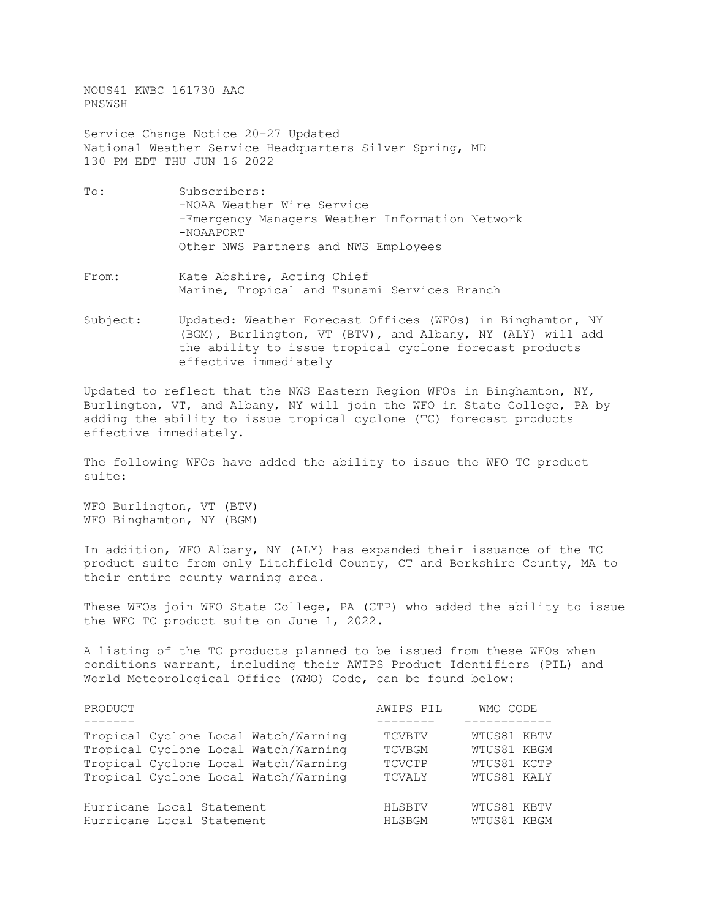NOUS41 KWBC 161730 AAC PNSWSH

Service Change Notice 20-27 Updated National Weather Service Headquarters Silver Spring, MD 130 PM EDT THU JUN 16 2022

- To: Subscribers: -NOAA Weather Wire Service -Emergency Managers Weather Information Network -NOAAPORT Other NWS Partners and NWS Employees
- From: Kate Abshire, Acting Chief Marine, Tropical and Tsunami Services Branch
- Subject: Updated: Weather Forecast Offices (WFOs) in Binghamton, NY (BGM), Burlington, VT (BTV), and Albany, NY (ALY) will add the ability to issue tropical cyclone forecast products effective immediately

Updated to reflect that the NWS Eastern Region WFOs in Binghamton, NY, Burlington, VT, and Albany, NY will join the WFO in State College, PA by adding the ability to issue tropical cyclone (TC) forecast products effective immediately.

The following WFOs have added the ability to issue the WFO TC product suite:

WFO Burlington, VT (BTV) WFO Binghamton, NY (BGM)

In addition, WFO Albany, NY (ALY) has expanded their issuance of the TC product suite from only Litchfield County, CT and Berkshire County, MA to their entire county warning area.

These WFOs join WFO State College, PA (CTP) who added the ability to issue the WFO TC product suite on June 1, 2022.

A listing of the TC products planned to be issued from these WFOs when conditions warrant, including their AWIPS Product Identifiers (PIL) and World Meteorological Office (WMO) Code, can be found below:

| PRODUCT                              | AWIPS PIL     | WMO CODE    |
|--------------------------------------|---------------|-------------|
|                                      |               |             |
| Tropical Cyclone Local Watch/Warning | <b>TCVBTV</b> | WTUS81 KBTV |
| Tropical Cyclone Local Watch/Warning | <b>TCVBGM</b> | WTUS81 KBGM |
| Tropical Cyclone Local Watch/Warning | TCVCTP        | WTUS81 KCTP |
| Tropical Cyclone Local Watch/Warning | TCVALY        | WTUS81 KALY |
| Hurricane Local Statement            | HLSBTV        | WTUS81 KBTV |
| Hurricane Local Statement            | HLSBGM        | WTUS81 KBGM |